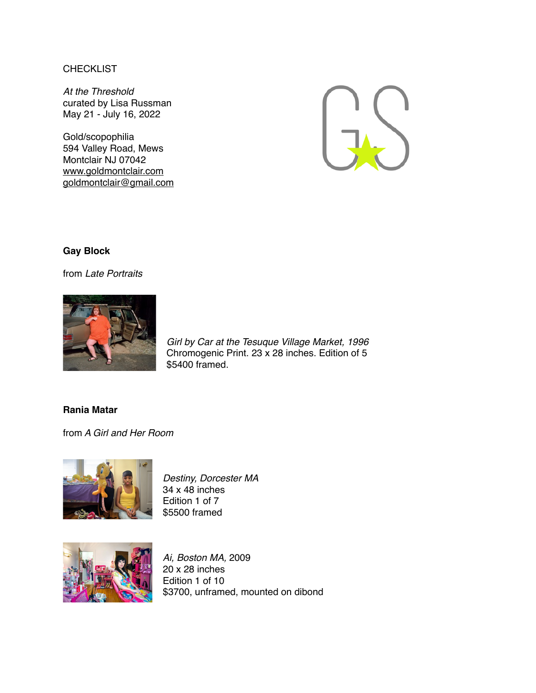## **CHECKLIST**

*At the Threshold* curated by Lisa Russman May 21 - July 16, 2022

Gold/scopophilia 594 Valley Road, Mews Montclair NJ 07042 [www.goldmontclair.com](http://www.goldmontclair.com) [goldmontclair@gmail.com](mailto:goldmontclair@gmail.com)



## **Gay Block**

from *Late Portraits*



*Girl by Car at the Tesuque Village Market, 1996* Chromogenic Print. 23 x 28 inches. Edition of 5 \$5400 framed.

## **Rania Matar**

from *A Girl and Her Room*



*Destiny, Dorcester MA* 34 x 48 inches Edition 1 of 7 \$5500 framed



*Ai, Boston MA,* 2009 20 x 28 inches Edition 1 of 10 \$3700, unframed, mounted on dibond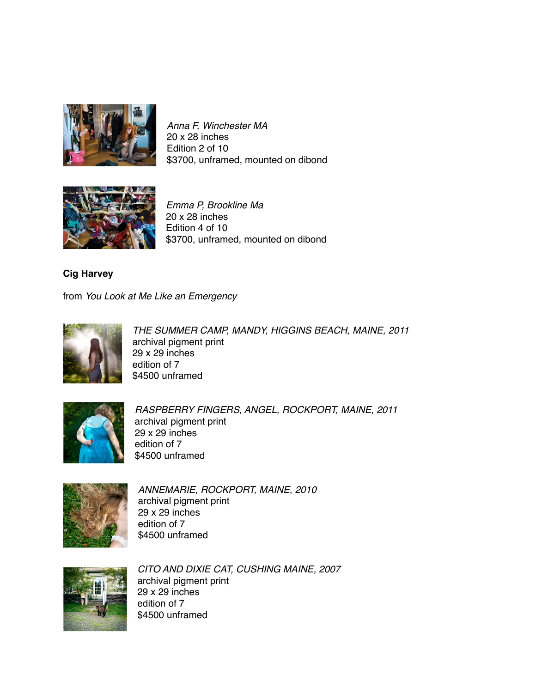

*Anna F, Winchester MA* 20 x 28 inches Edition 2 of 10 \$3700, unframed, mounted on dibond



*Emma P, Brookline Ma* 20 x 28 inches Edition 4 of 10 \$3700, unframed, mounted on dibond

**Cig Harvey**

from *You Look at Me Like an Emergency*



*THE SUMMER CAMP, MANDY, HIGGINS BEACH, MAINE, 2011* archival pigment print 29 x 29 inches edition of 7 \$4500 unframed



*RASPBERRY FINGERS, ANGEL, ROCKPORT, MAINE, 2011* archival pigment print 29 x 29 inches edition of 7 \$4500 unframed



*ANNEMARIE, ROCKPORT, MAINE, 2010* archival pigment print 29 x 29 inches edition of 7 \$4500 unframed



*CITO AND DIXIE CAT, CUSHING MAINE, 2007* archival pigment print 29 x 29 inches edition of 7 \$4500 unframed